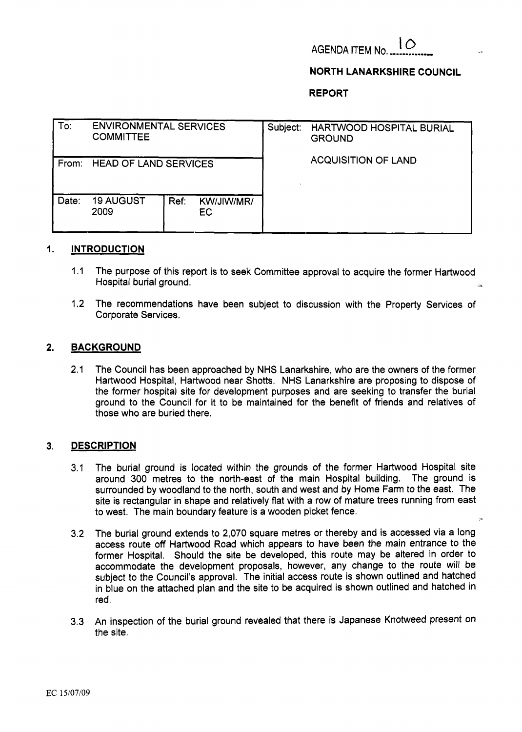# **AGENDA ITEM No.** 10

## **NORTH LANARKSHIRE COUNCIL**

**REPORT** 

| To:   | <b>ENVIRONMENTAL SERVICES</b><br><b>COMMITTEE</b> |      |                   | Subject: | HARTWOOD HOSPITAL BURIAL<br><b>GROUND</b> |
|-------|---------------------------------------------------|------|-------------------|----------|-------------------------------------------|
| From: | <b>HEAD OF LAND SERVICES</b>                      |      |                   |          | <b>ACQUISITION OF LAND</b>                |
| Date: | <b>19 AUGUST</b><br>2009                          | Ref: | KW/JIW/MR/<br>EC. |          |                                           |

#### **1. INTRODUCTION**

- 1 .I The purpose of this report is to seek Committee approval to acquire the former Hartwood Hospital burial ground.
- 1.2 The recommendations have been subject to discussion with the Property Services of Corporate Services.

### **2. BACKGROUND**

2.1 The Council has been approached by NHS Lanarkshire, who are the owners of the former Hartwood Hospital, Hartwood near Shotts. NHS Lanarkshire are proposing to dispose of the former hospital site for development purposes and are seeking to transfer the burial ground to the Council for it to be maintained for the benefit of friends and relatives of those who are buried there.

## **3. DESCRIPTION**

- 3.1 The burial ground *is* located within the grounds of the former Hartwood Hospital site around 300 metres to the north-east of the main Hospital building. The ground is surrounded by woodland to the north, south and west and by Home Farm to the east. The site is rectangular in shape and relatively flat with a row of mature trees running from east to west. The main boundary feature **is** a wooden picket fence. **.il**
- 3.2 The burial ground extends to 2,070 square metres or thereby and is accessed via a long access route off Hartwood Road which appears to have been the main entrance to the former Hospital. Should the site be developed, this route may be altered in order to accommodate the development proposals, however, any change to the route will be subject to the Council's approval. The initial access route is shown outlined and hatched in blue on the attached plan and the site to be acquired is shown outlined and hatched in red.
- 3.3 An inspection of the burial ground revealed that there is Japanese Knotweed present on the site.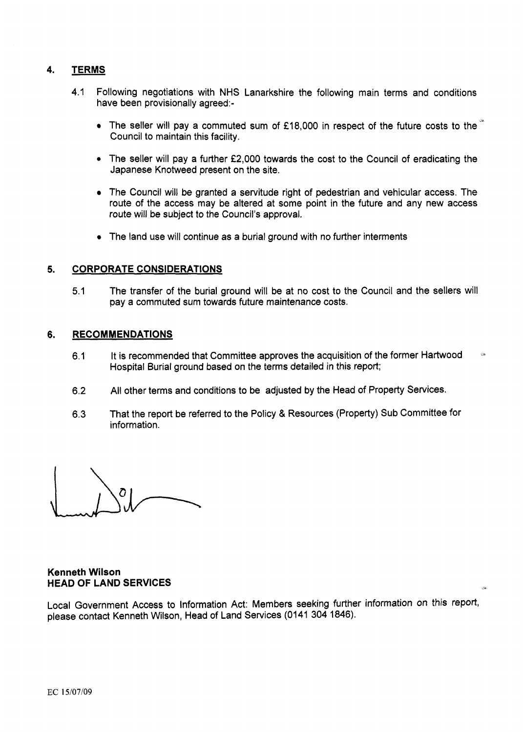## **4. TERMS**

- 4.1 Following negotiations with NHS Lanarkshire the following main terms and conditions have been provisionally agreed:-
	- The seller will pay a commuted sum of £18,000 in respect of the future costs to the Council to maintain this facility.
	- *<sup>0</sup>*The seller will pay a further **f2,000** towards the cost to the Council of eradicating the Japanese Knotweed present on the site.
	- The Council will be granted a servitude right of pedestrian and vehicular access. The route of the access may be altered at some point in the future and any new access route will be subject to the Council's approval.
	- The land use will continue as a burial ground with no further interments

### **5. CORPORATE CONSIDERATIONS**

5.1 The transfer of the burial ground will be at no cost to the Council and the sellers will pay a commuted sum towards future maintenance costs.

### **6. RECOMMENDATIONS**

- 6.1 It **is** recommended that Committee approves the acquisition of the former Hartwood Hospital Burial ground based on the terms detailed in this report; **-3**
- 6.2 All other terms and conditions to be adjusted by the Head of Property Services.
- 6.3 That the report be referred to the Policy & Resources (Property) Sub Committee for information.

## **Kenneth Wilson HEAD OF LAND SERVICES**

Local Government Access to Information Act: Members seeking further information on this report, please contact Kenneth Wilson, Head of Land Services (0141 304 1846).